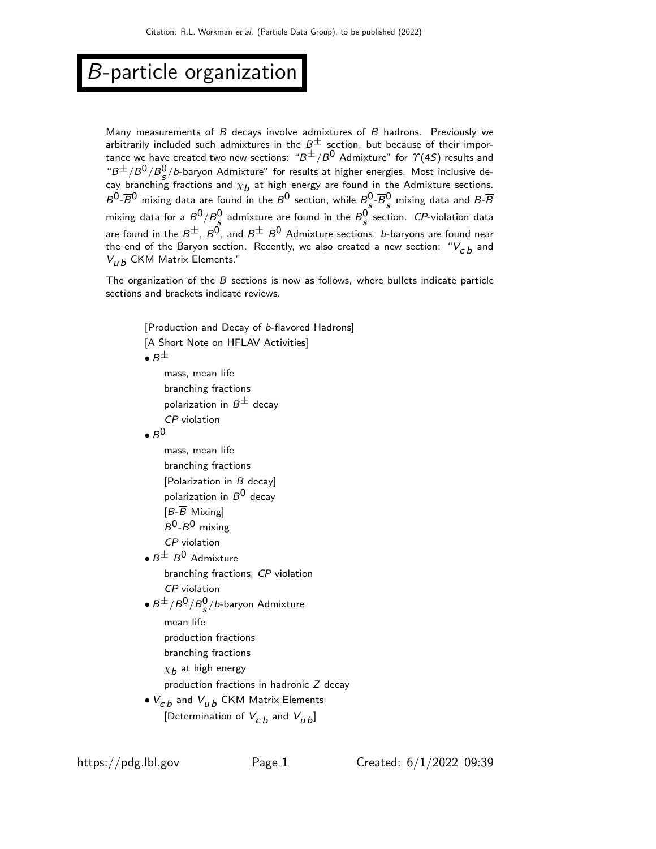## B-particle organization

Many measurements of  $B$  decays involve admixtures of  $B$  hadrons. Previously we arbitrarily included such admixtures in the  $B^{\pm}$  section, but because of their importance we have created two new sections:  $B^{\pm}/B^0$  Admixture" for  $\Upsilon(4S)$  results and " $B^{\pm}/B^0/B^0_s/b$ -baryon Admixture" for results at higher energies. Most inclusive decay branching fractions and  $\chi_{\bm b}$  at high energy are found in the Admixture sections.  $B^0$ - $\overline{B}{}^0$  mixing data are found in the  $B^0$  section, while  $B^0_s$ - $\overline{B}{}^0_s$  mixing data and  $B$ - $\overline{B}$ mixing data for a  $B^0/B^0_{\boldsymbol{s}}$  admixture are found in the  $B^0_{\boldsymbol{s}}$  section.  ${\mathit{CP}}$ -violation data are found in the  $B^{\pm}$ ,  $B^{\overrightarrow{0}}$ , and  $B^{\pm}$   $B^{\overrightarrow{0}}$  Admixture sections. *b*-baryons are found near the end of the Baryon section. Recently, we also created a new section: " $V_{cb}$  and  $V_{IIb}$  CKM Matrix Elements."

The organization of the  $B$  sections is now as follows, where bullets indicate particle sections and brackets indicate reviews.

```
[Production and Decay of b-flavored Hadrons]
[A Short Note on HFLAV Activities]
\bullet B^{\pm}mass, mean life
     branching fractions
     polarization in B^{\pm} decay
     CP violation
\bullet B^0mass, mean life
     branching fractions
     [Polarization in B decay]
     polarization in B^0 decay
     [B-<del>B</del>] Mixing
     B^0-\overline{B}^0 mixing
     CP violation
\bullet B^\pm B^0 Admixture
     branching fractions, CP violation
     CP violation
\bullet B^\pm / B^0 / B^0_s / b-baryon Admixture
     mean life
     production fractions
     branching fractions
     \chi_{\boldsymbol{b}} at high energy
     production fractions in hadronic Z decay
\bullet V_{cb} and V_{ub} CKM Matrix Elements
     [Determination of V_{cb} and V_{th}]
```